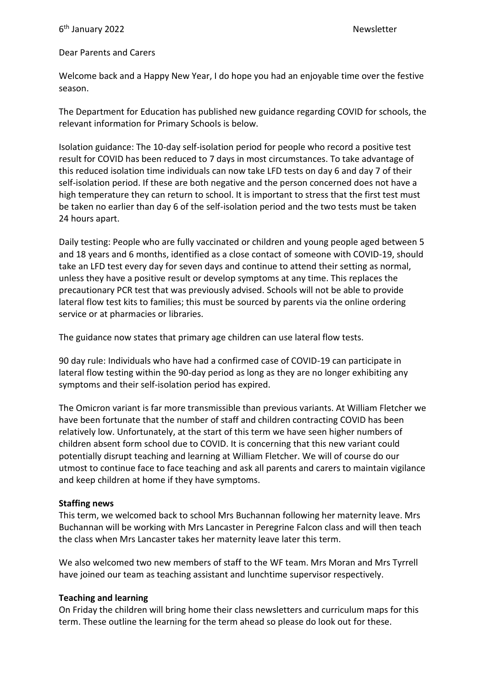# Dear Parents and Carers

Welcome back and a Happy New Year, I do hope you had an enjoyable time over the festive season.

The Department for Education has published new guidance regarding COVID for schools, the relevant information for Primary Schools is below.

Isolation guidance: The 10-day self-isolation period for people who record a positive test result for COVID has been reduced to 7 days in most circumstances. To take advantage of this reduced isolation time individuals can now take LFD tests on day 6 and day 7 of their self-isolation period. If these are both negative and the person concerned does not have a high temperature they can return to school. It is important to stress that the first test must be taken no earlier than day 6 of the self-isolation period and the two tests must be taken 24 hours apart.

Daily testing: People who are fully vaccinated or children and young people aged between 5 and 18 years and 6 months, identified as a close contact of someone with COVID-19, should take an LFD test every day for seven days and continue to attend their setting as normal, unless they have a positive result or develop symptoms at any time. This replaces the precautionary PCR test that was previously advised. Schools will not be able to provide lateral flow test kits to families; this must be sourced by parents via the online ordering service or at pharmacies or libraries.

The guidance now states that primary age children can use lateral flow tests.

90 day rule: Individuals who have had a confirmed case of COVID-19 can participate in lateral flow testing within the 90-day period as long as they are no longer exhibiting any symptoms and their self-isolation period has expired.

The Omicron variant is far more transmissible than previous variants. At William Fletcher we have been fortunate that the number of staff and children contracting COVID has been relatively low. Unfortunately, at the start of this term we have seen higher numbers of children absent form school due to COVID. It is concerning that this new variant could potentially disrupt teaching and learning at William Fletcher. We will of course do our utmost to continue face to face teaching and ask all parents and carers to maintain vigilance and keep children at home if they have symptoms.

# **Staffing news**

This term, we welcomed back to school Mrs Buchannan following her maternity leave. Mrs Buchannan will be working with Mrs Lancaster in Peregrine Falcon class and will then teach the class when Mrs Lancaster takes her maternity leave later this term.

We also welcomed two new members of staff to the WF team. Mrs Moran and Mrs Tyrrell have joined our team as teaching assistant and lunchtime supervisor respectively.

# **Teaching and learning**

On Friday the children will bring home their class newsletters and curriculum maps for this term. These outline the learning for the term ahead so please do look out for these.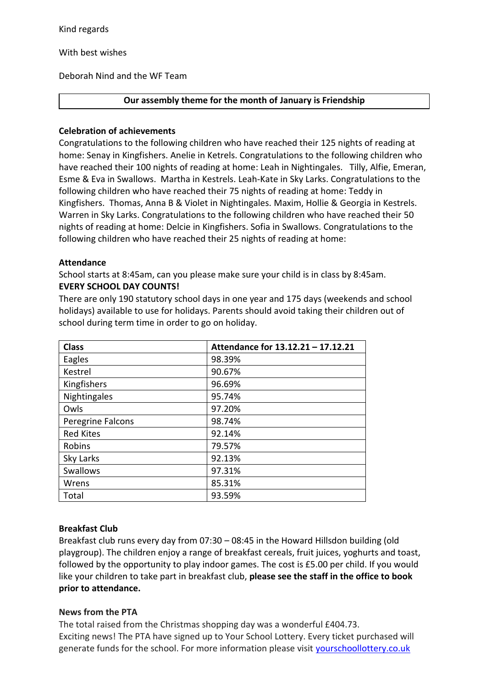Kind regards

With best wishes

Deborah Nind and the WF Team

# **Our assembly theme for the month of January is Friendship**

## **Celebration of achievements**

Congratulations to the following children who have reached their 125 nights of reading at home: Senay in Kingfishers. Anelie in Ketrels. Congratulations to the following children who have reached their 100 nights of reading at home: Leah in Nightingales. Tilly, Alfie, Emeran, Esme & Eva in Swallows. Martha in Kestrels. Leah-Kate in Sky Larks. Congratulations to the following children who have reached their 75 nights of reading at home: Teddy in Kingfishers. Thomas, Anna B & Violet in Nightingales. Maxim, Hollie & Georgia in Kestrels. Warren in Sky Larks. Congratulations to the following children who have reached their 50 nights of reading at home: Delcie in Kingfishers. Sofia in Swallows. Congratulations to the following children who have reached their 25 nights of reading at home:

## **Attendance**

School starts at 8:45am, can you please make sure your child is in class by 8:45am. **EVERY SCHOOL DAY COUNTS!**

There are only 190 statutory school days in one year and 175 days (weekends and school holidays) available to use for holidays. Parents should avoid taking their children out of school during term time in order to go on holiday.

| <b>Class</b>      | Attendance for 13.12.21 - 17.12.21 |
|-------------------|------------------------------------|
| Eagles            | 98.39%                             |
| Kestrel           | 90.67%                             |
| Kingfishers       | 96.69%                             |
| Nightingales      | 95.74%                             |
| Owls              | 97.20%                             |
| Peregrine Falcons | 98.74%                             |
| <b>Red Kites</b>  | 92.14%                             |
| Robins            | 79.57%                             |
| Sky Larks         | 92.13%                             |
| <b>Swallows</b>   | 97.31%                             |
| Wrens             | 85.31%                             |
| Total             | 93.59%                             |

# **Breakfast Club**

Breakfast club runs every day from 07:30 – 08:45 in the Howard Hillsdon building (old playgroup). The children enjoy a range of breakfast cereals, fruit juices, yoghurts and toast, followed by the opportunity to play indoor games. The cost is £5.00 per child. If you would like your children to take part in breakfast club, **please see the staff in the office to book prior to attendance.**

# **News from the PTA**

The total raised from the Christmas shopping day was a wonderful £404.73. Exciting news! The PTA have signed up to Your School Lottery. Every ticket purchased will generate funds for the school. For more information please visit [yourschoollottery.co.uk](http://yourschoollottery.co.uk/)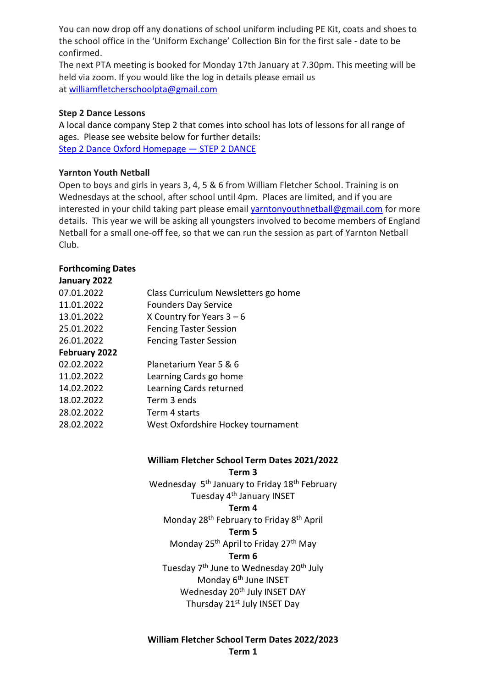You can now drop off any donations of school uniform including PE Kit, coats and shoes to the school office in the 'Uniform Exchange' Collection Bin for the first sale - date to be confirmed.

The next PTA meeting is booked for Monday 17th January at 7.30pm. This meeting will be held via zoom. If you would like the log in details please email us at [williamfletcherschoolpta@gmail.com](mailto:williamfletcherschoolpta@gmail.com)

## **Step 2 Dance Lessons**

A local dance company Step 2 that comes into school has lots of lessons for all range of ages. Please see website below for further details: [Step 2 Dance Oxford Homepage](https://www.step2dance.co.uk/home) — STEP 2 DANCE

# **Yarnton Youth Netball**

Open to boys and girls in years 3, 4, 5 & 6 from William Fletcher School. Training is on Wednesdays at the school, after school until 4pm. Places are limited, and if you are interested in your child taking part please email varntonyouthnetball@gmail.com for more details. This year we will be asking all youngsters involved to become members of England Netball for a small one-off fee, so that we can run the session as part of Yarnton Netball Club.

# **Forthcoming Dates**

| January 2022  |                                      |
|---------------|--------------------------------------|
| 07.01.2022    | Class Curriculum Newsletters go home |
| 11.01.2022    | <b>Founders Day Service</b>          |
| 13.01.2022    | X Country for Years $3-6$            |
| 25.01.2022    | <b>Fencing Taster Session</b>        |
| 26.01.2022    | <b>Fencing Taster Session</b>        |
| February 2022 |                                      |
| 02.02.2022    | Planetarium Year 5 & 6               |
| 11.02.2022    | Learning Cards go home               |
| 14.02.2022    | Learning Cards returned              |
| 18.02.2022    | Term 3 ends                          |
| 28.02.2022    | Term 4 starts                        |
| 28.02.2022    | West Oxfordshire Hockey tournament   |
|               |                                      |

# **William Fletcher School Term Dates 2021/2022**

**Term 3**

Wednesday 5<sup>th</sup> January to Friday 18<sup>th</sup> February Tuesday 4<sup>th</sup> January INSET

#### **Term 4**

Monday 28<sup>th</sup> February to Friday 8<sup>th</sup> April

#### **Term 5**

Monday 25<sup>th</sup> April to Friday 27<sup>th</sup> May

#### **Term 6**

Tuesday 7<sup>th</sup> June to Wednesday 20<sup>th</sup> July Monday 6<sup>th</sup> June INSET Wednesday 20<sup>th</sup> July INSET DAY Thursday 21<sup>st</sup> July INSET Day

# **William Fletcher School Term Dates 2022/2023 Term 1**